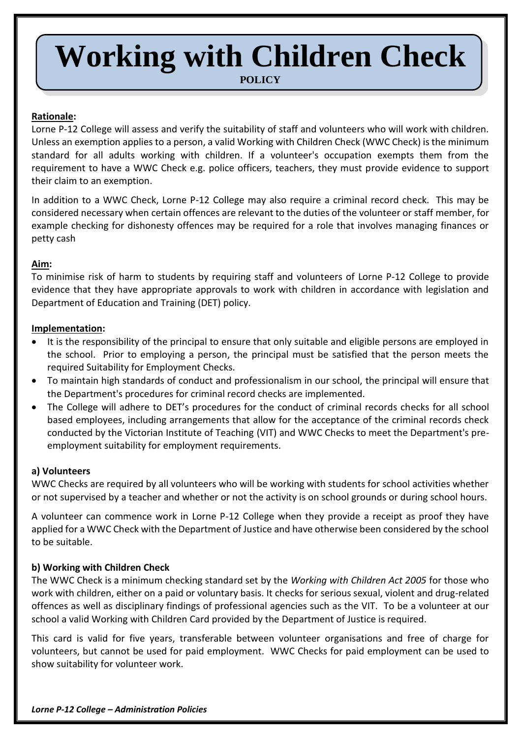# **Working with Children Check**

**POLICY**

# **Rationale:**

Lorne P-12 College will assess and verify the suitability of staff and volunteers who will work with children. Unless an exemption applies to a person, a valid Working with Children Check (WWC Check) is the minimum standard for all adults working with children. If a volunteer's occupation exempts them from the requirement to have a WWC Check e.g. police officers, teachers, they must provide evidence to support their claim to an exemption.

In addition to a WWC Check, Lorne P-12 College may also require a criminal record check. This may be considered necessary when certain offences are relevant to the duties of the volunteer or staff member, for example checking for dishonesty offences may be required for a role that involves managing finances or petty cash

# **Aim:**

To minimise risk of harm to students by requiring staff and volunteers of Lorne P-12 College to provide evidence that they have appropriate approvals to work with children in accordance with legislation and Department of Education and Training (DET) policy.

# **Implementation:**

- It is the responsibility of the principal to ensure that only suitable and eligible persons are employed in the school. Prior to employing a person, the principal must be satisfied that the person meets the required Suitability for Employment Checks.
- To maintain high standards of conduct and professionalism in our school, the principal will ensure that the Department's procedures for criminal record checks are implemented.
- The College will adhere to DET's procedures for the conduct of criminal records checks for all school based employees, including arrangements that allow for the acceptance of the criminal records check conducted by the Victorian Institute of Teaching (VIT) and WWC Checks to meet the Department's preemployment suitability for employment requirements.

# **a) Volunteers**

WWC Checks are required by all volunteers who will be working with students for school activities whether or not supervised by a teacher and whether or not the activity is on school grounds or during school hours.

A volunteer can commence work in Lorne P-12 College when they provide a receipt as proof they have applied for a WWC Check with the Department of Justice and have otherwise been considered by the school to be suitable.

# **b) Working with Children Check**

The WWC Check is a minimum checking standard set by the *Working with Children Act 2005* for those who work with children, either on a paid or voluntary basis. It checks for serious sexual, violent and drug-related offences as well as disciplinary findings of professional agencies such as the VIT. To be a volunteer at our school a valid Working with Children Card provided by the Department of Justice is required.

This card is valid for five years, transferable between volunteer organisations and free of charge for volunteers, but cannot be used for paid employment. WWC Checks for paid employment can be used to show suitability for volunteer work.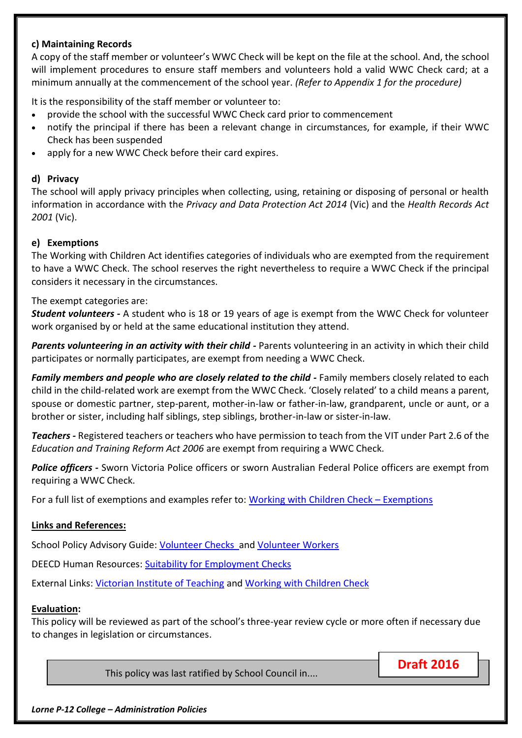# **c) Maintaining Records**

A copy of the staff member or volunteer's WWC Check will be kept on the file at the school. And, the school will implement procedures to ensure staff members and volunteers hold a valid WWC Check card; at a minimum annually at the commencement of the school year. *(Refer to Appendix 1 for the procedure)*

It is the responsibility of the staff member or volunteer to:

- provide the school with the successful WWC Check card prior to commencement
- notify the principal if there has been a relevant change in circumstances, for example, if their WWC Check has been suspended
- apply for a new WWC Check before their card expires.

#### **d) Privacy**

The school will apply privacy principles when collecting, using, retaining or disposing of personal or health information in accordance with the *Privacy and Data Protection Act 2014* (Vic) and the *Health Records Act 2001* (Vic).

#### **e) Exemptions**

The Working with Children Act identifies categories of individuals who are exempted from the requirement to have a WWC Check. The school reserves the right nevertheless to require a WWC Check if the principal considers it necessary in the circumstances.

#### The exempt categories are:

*Student volunteers -* A student who is 18 or 19 years of age is exempt from the WWC Check for volunteer work organised by or held at the same educational institution they attend.

*Parents volunteering in an activity with their child -* Parents volunteering in an activity in which their child participates or normally participates, are exempt from needing a WWC Check.

*Family members and people who are closely related to the child -* Family members closely related to each child in the child-related work are exempt from the WWC Check. 'Closely related' to a child means a parent, spouse or domestic partner, step-parent, mother-in-law or father-in-law, grandparent, uncle or aunt, or a brother or sister, including half siblings, step siblings, brother-in-law or sister-in-law.

*Teachers -* Registered teachers or teachers who have permission to teach from the VIT under Part 2.6 of the *Education and Training Reform Act 2006* are exempt from requiring a WWC Check.

*Police officers -* Sworn Victoria Police officers or sworn Australian Federal Police officers are exempt from requiring a WWC Check.

For a full list of exemptions and examples refer to: [Working with Children Check](http://www.workingwithchildren.vic.gov.au/home/about+the+check/who+needs+a+check/exemptions/exemptions) – Exemptions

#### **Links and References:**

School Policy Advisory Guide: [Volunteer Checks](http://www.education.vic.gov.au/school/principals/spag/community/pages/volunteers.aspx) and [Volunteer Workers](http://www.education.vic.gov.au/school/principals/spag/governance/Pages/volunteers.aspx)

DEECD Human Resources: [Suitability for Employment Checks](http://www.education.vic.gov.au/hrweb/Documents/Suitability_for_employment.pdf)

External Links: [Victorian Institute of Teaching](http://www.vit.vic.edu.au/) and [Working with Children Check](http://www.workingwithchildren.vic.gov.au/)

#### **Evaluation:**

This policy will be reviewed as part of the school's three-year review cycle or more often if necessary due to changes in legislation or circumstances.

This policy was last ratified by School Council in....

**Draft 2016**

*Lorne P-12 College – Administration Policies*